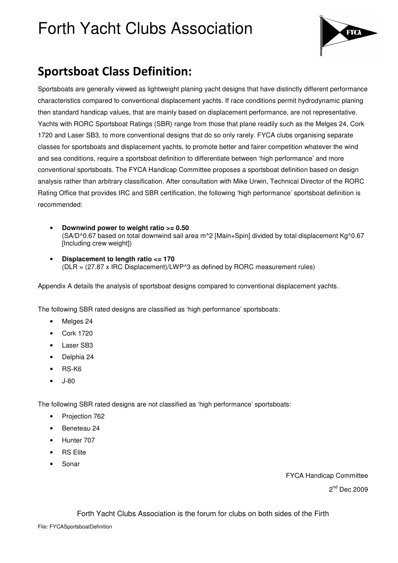## Forth Yacht Clubs Association



### Sportsboat Class Definition:

Sportsboats are generally viewed as lightweight planing yacht designs that have distinctly different performance characteristics compared to conventional displacement yachts. If race conditions permit hydrodynamic planing then standard handicap values, that are mainly based on displacement performance, are not representative. Yachts with RORC Sportsboat Ratings (SBR) range from those that plane readily such as the Melges 24, Cork 1720 and Laser SB3, to more conventional designs that do so only rarely. FYCA clubs organising separate classes for sportsboats and displacement yachts, to promote better and fairer competition whatever the wind and sea conditions, require a sportsboat definition to differentiate between 'high performance' and more conventional sportsboats. The FYCA Handicap Committee proposes a sportsboat definition based on design analysis rather than arbitrary classification. After consultation with Mike Urwin, Technical Director of the RORC Rating Office that provides IRC and SBR certification, the following 'high performance' sportsboat definition is recommended:

- **Downwind power to weight ratio >= 0.50** (SA/D^0.67 based on total downwind sail area m^2 [Main+Spin] divided by total displacement Kg^0.67 [Including crew weight])
- **Displacement to length ratio <= 170** (DLR = (27.87 x IRC Displacement)/LWP^3 as defined by RORC measurement rules)

Appendix A details the analysis of sportsboat designs compared to conventional displacement yachts.

The following SBR rated designs are classified as 'high performance' sportsboats:

- Melges 24
- Cork 1720
- Laser SB3
- Delphia 24
- RS-K6
- J-80

The following SBR rated designs are not classified as 'high performance' sportsboats:

- Projection 762
- Beneteau 24
- Hunter 707
- **RS** Elite
- Sonar

FYCA Handicap Committee

2<sup>nd</sup> Dec 2009

Forth Yacht Clubs Association is the forum for clubs on both sides of the Firth